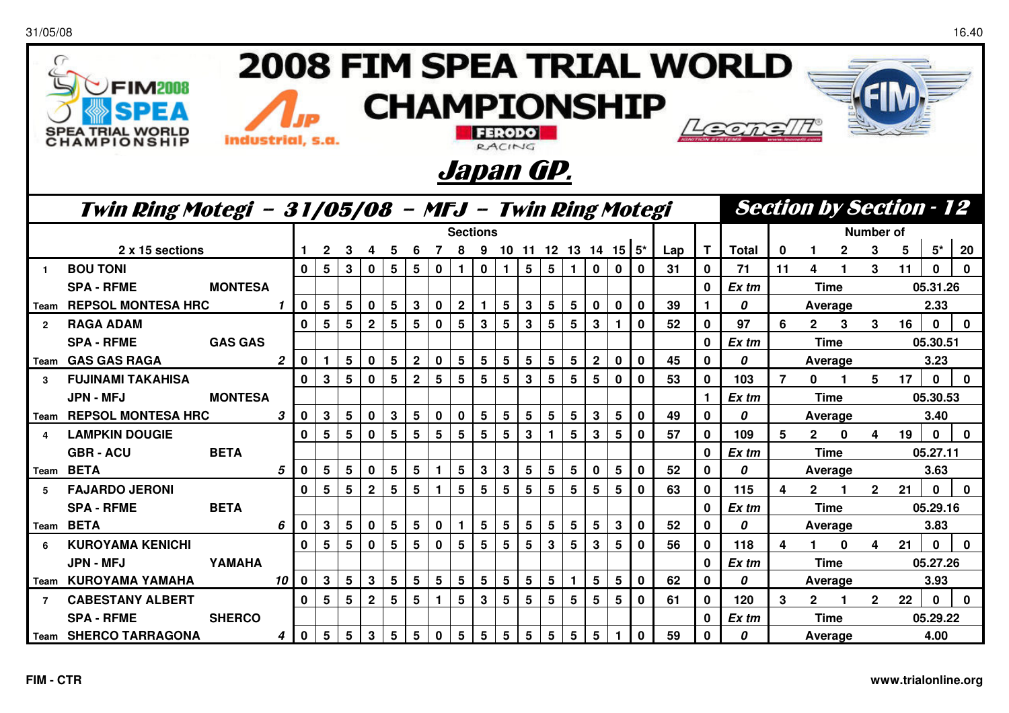31/05/08

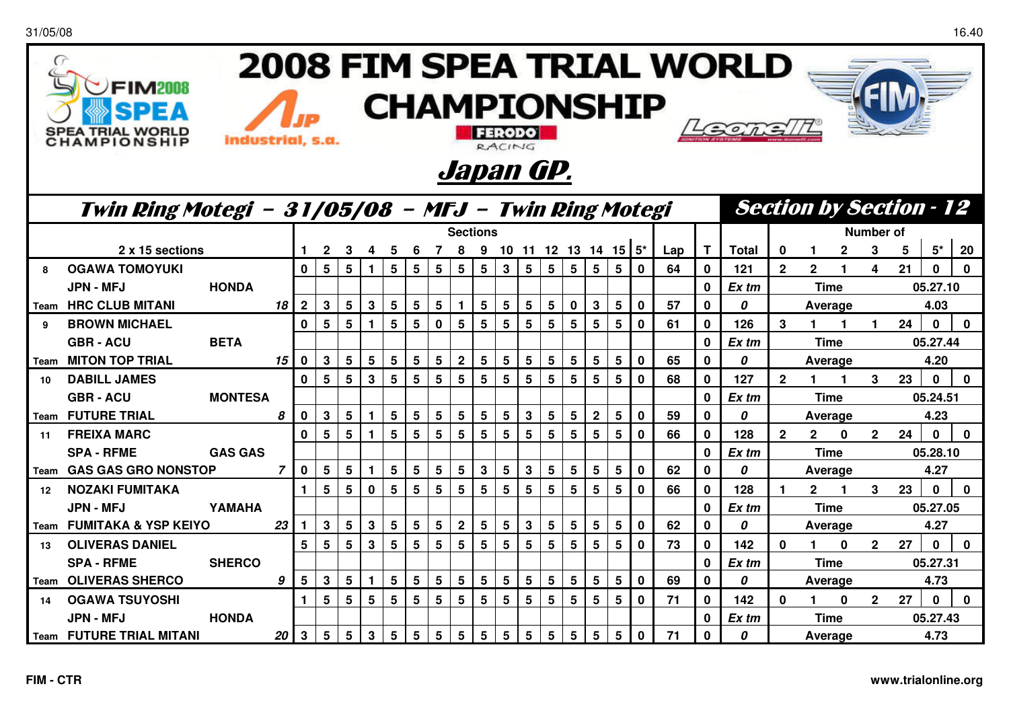| 2008 FIM SPEA TRIAL WORLD<br>$\epsilon$<br>FIM2NB |                                                                |                |                |                |                 |                 |              |                 |          |                 |                |                 |                |                 |                 |                                |                 |                           |              |     |              |              |                |                  |              |                |    |              |              |
|---------------------------------------------------|----------------------------------------------------------------|----------------|----------------|----------------|-----------------|-----------------|--------------|-----------------|----------|-----------------|----------------|-----------------|----------------|-----------------|-----------------|--------------------------------|-----------------|---------------------------|--------------|-----|--------------|--------------|----------------|------------------|--------------|----------------|----|--------------|--------------|
|                                                   | <b>CHAMPIONSHIP</b>                                            |                |                |                |                 |                 |              |                 |          |                 |                |                 |                |                 |                 |                                |                 |                           |              |     |              |              |                |                  |              |                |    |              |              |
|                                                   | A TRIAL WORL<br>industrial, s.a.<br><b>AMPIONSHI</b><br>RACING |                |                |                |                 |                 |              |                 |          |                 |                |                 |                |                 |                 |                                |                 |                           |              |     |              |              |                |                  |              |                |    |              |              |
|                                                   |                                                                |                |                |                |                 |                 |              |                 |          |                 |                |                 |                |                 |                 |                                |                 |                           |              |     |              |              |                |                  |              |                |    |              |              |
| Japan GP.                                         |                                                                |                |                |                |                 |                 |              |                 |          |                 |                |                 |                |                 |                 |                                |                 |                           |              |     |              |              |                |                  |              |                |    |              |              |
|                                                   | Twin Ring Motegi - 31/05/08 - MFJ - Twin Ring Motegi           |                |                |                |                 |                 |              |                 |          |                 |                |                 |                |                 |                 | <b>Section by Section - 12</b> |                 |                           |              |     |              |              |                |                  |              |                |    |              |              |
|                                                   |                                                                |                |                |                |                 |                 |              |                 | Sections |                 |                |                 |                |                 |                 |                                |                 |                           |              |     |              |              |                | <b>Number of</b> |              |                |    |              |              |
|                                                   | 2 x 15 sections                                                |                |                |                | $\mathbf{2}$    | 3               | 4            | - 5             | -6       | $\overline{7}$  | - 8            |                 |                |                 |                 |                                |                 | 9 10 11 12 13 14 15 $5^*$ |              | Lap | T            | <b>Total</b> | $\bf{0}$       |                  | $\mathbf{2}$ | 3              | 5  | $5^{\star}$  | 20           |
| 8                                                 | <b>OGAWA TOMOYUKI</b>                                          |                |                | $\bf{0}$       | 5               | 5               |              | 5               | 5        | 5               | 5              | 5               | 3              | $5\phantom{.0}$ | 5               | $5\phantom{1}$                 | 5               | $5\phantom{.0}$           | $\bf{0}$     | 64  | $\mathbf{0}$ | 121          | $\overline{2}$ | $\mathbf{2}$     |              | 4              | 21 | $\Omega$     | $\bf{0}$     |
|                                                   | <b>JPN - MFJ</b>                                               | <b>HONDA</b>   |                |                |                 |                 |              |                 |          |                 |                |                 |                |                 |                 |                                |                 |                           |              |     | $\mathbf{0}$ | Ex tm        |                | Time             |              |                |    | 05.27.10     |              |
|                                                   | <b>Team HRC CLUB MITANI</b>                                    |                | 18             | $\overline{2}$ | 3               | 5               | $\mathbf{3}$ | 5               | 5        | 5               |                | 5               | 5              | 5               | 5               | $\mathbf 0$                    | $\mathbf{3}$    | 5                         | $\mathbf 0$  | 57  | $\mathbf 0$  | 0            |                | Average          |              |                |    | 4.03         |              |
| 9                                                 | <b>BROWN MICHAEL</b>                                           |                |                | $\mathbf 0$    | 5               | 5               |              | 5               | 5        | $\mathbf 0$     | 5              | 5               | 5              | 5               | 5               | $5\phantom{.0}$                | 5               | 5                         | $\bf{0}$     | 61  | $\mathbf 0$  | 126          | 3              |                  |              | $\mathbf 1$    | 24 | $\Omega$     | $\bf{0}$     |
|                                                   | <b>GBR-ACU</b>                                                 | <b>BETA</b>    |                |                |                 |                 |              |                 |          |                 |                |                 |                |                 |                 |                                |                 |                           |              |     | $\mathbf 0$  | Ex tm        |                | <b>Time</b>      |              |                |    | 05.27.44     |              |
|                                                   | <b>Team MITON TOP TRIAL</b>                                    |                | 15 I           | $\bf{0}$       | 3               | $5\phantom{.0}$ | 5            | 5               | 5        | $5\phantom{.0}$ | $\mathbf{2}$   | 5               | 5              | 5               | 5               | 5                              | 5               | 5                         | $\mathbf 0$  | 65  | $\mathbf 0$  | 0            |                | Average          |              |                |    | 4.20         |              |
| 10                                                | <b>DABILL JAMES</b>                                            |                |                | $\mathbf{0}$   | 5               | 5               | 3            | 5               | 5        | 5               | 5              | 5               | 5              | 5               | 5               | 5                              | 5               | 5                         | $\bf{0}$     | 68  | $\mathbf{0}$ | 127          | $\overline{2}$ |                  |              | 3              | 23 | $\mathbf{0}$ | $\mathbf{0}$ |
|                                                   | <b>GBR-ACU</b>                                                 | <b>MONTESA</b> |                |                |                 |                 |              |                 |          |                 |                |                 |                |                 |                 |                                |                 |                           |              |     | $\mathbf{0}$ | Ex tm        |                | <b>Time</b>      |              |                |    | 05.24.51     |              |
|                                                   | <b>Team FUTURE TRIAL</b>                                       |                | 8              | 0              | 3               | 5               |              | 5               | 5        | 5               | 5              | 5               | 5              | $\mathbf{3}$    | 5               | 5                              | 2 <sup>1</sup>  | $5\phantom{.0}$           | $\mathbf{0}$ | 59  | $\mathbf{0}$ | 0            |                | Average          |              |                |    | 4.23         |              |
| 11                                                | <b>FREIXA MARC</b>                                             |                |                | $\mathbf 0$    | 5               | $5\phantom{.0}$ | 1.           | $5\phantom{1}$  | 5        | 5               | 5              | $5\phantom{.0}$ | 5              | $5\phantom{.0}$ | 5               | 5                              | 5               | 5                         | $\bf{0}$     | 66  | $\mathbf 0$  | 128          | $\mathbf{2}$   | $\mathbf{2}$     | $\bf{0}$     | $\mathbf{2}$   | 24 | $\bf{0}$     | $\mathbf 0$  |
|                                                   | <b>SPA - RFME</b>                                              | <b>GAS GAS</b> |                |                |                 |                 |              |                 |          |                 |                |                 |                |                 |                 |                                |                 |                           |              |     | $\mathbf 0$  | Ex tm        |                | <b>Time</b>      |              |                |    | 05.28.10     |              |
|                                                   | Team GAS GAS GRO NONSTOP                                       |                | $\overline{7}$ | $\mathbf 0$    | 5               | 5               |              | 5               | 5        | 5               | 5              | 3               | 5              | $\mathbf{3}$    | 5               | 5                              | 5               | 5                         | $\bf{0}$     | 62  | $\mathbf 0$  | 0            |                | Average          |              |                |    | 4.27         |              |
| 12                                                | <b>NOZAKI FUMITAKA</b>                                         |                |                | $\blacksquare$ | 5               | 5               | $\mathbf 0$  | 5               | 5        | 5               | 5              | 5               | 5              | 5               | 5               | 5                              | 5               | 5                         | $\bf{0}$     | 66  | $\mathbf 0$  | 128          |                | $\mathbf{2}$     |              | 3              | 23 | $\bf{0}$     | $\mathbf{0}$ |
|                                                   | JPN - MFJ                                                      | YAMAHA         |                | 1              |                 |                 |              |                 |          |                 |                |                 |                |                 |                 |                                |                 |                           |              |     | $\mathbf 0$  | Ex tm        |                | <b>Time</b>      |              |                |    | 05.27.05     |              |
|                                                   | 23<br>Team FUMITAKA & YSP KEIYO                                |                |                |                | 3               | 5               | 3            | 5               | 5        | 5               | $\overline{2}$ | 5               | 5              | 3               | 5               | 5                              | 5               | 5                         | $\mathbf{0}$ | 62  | $\mathbf 0$  | 0            |                | Average          |              |                |    | 4.27         |              |
| 13                                                | <b>OLIVERAS DANIEL</b>                                         |                |                | 5              | 5               | 5               | 3            | $5\phantom{.0}$ | 5        | $5\phantom{1}$  | 5              | 5               | $5\phantom{1}$ | $5\phantom{1}$  | 5               | $5\phantom{1}$                 | 5               | 5                         | $\bf{0}$     | 73  | $\mathbf{0}$ | 142          | 0              |                  | $\bf{0}$     | $\mathbf{2}$   | 27 | $\mathbf 0$  | $\mathbf 0$  |
|                                                   | <b>SPA - RFME</b>                                              | <b>SHERCO</b>  |                |                |                 |                 |              |                 |          |                 |                |                 |                |                 |                 |                                |                 |                           |              |     | $\mathbf 0$  | Ex tm        |                | <b>Time</b>      |              |                |    | 05.27.31     |              |
|                                                   | Team OLIVERAS SHERCO                                           |                | 9              | 5              | 3               | 5               |              | 5               | 5        | 5               | 5              | 5               | 5              | $5\phantom{1}$  | 5               | 5                              | 5               | 5                         | $\mathbf 0$  | 69  | $\mathbf 0$  | 0            |                | Average          |              |                |    | 4.73         |              |
| 14                                                | <b>OGAWA TSUYOSHI</b>                                          |                |                | $\blacksquare$ | 5               | 5               | 5            | 5               | 5        | 5               | 5              | 5               | 5              | $5\phantom{.0}$ | 5               | 5                              | $5\phantom{.0}$ | $5\phantom{.0}$           | $\bf{0}$     | 71  | $\mathbf 0$  | 142          | $\bf{0}$       | 1                | $\bf{0}$     | 2 <sup>1</sup> | 27 | $\mathbf{0}$ | $\mathbf{0}$ |
|                                                   | <b>JPN - MFJ</b>                                               | <b>HONDA</b>   |                |                |                 |                 |              |                 |          |                 |                |                 |                |                 |                 |                                |                 |                           |              |     | $\mathbf{0}$ | Ex tm        |                | <b>Time</b>      |              |                |    | 05.27.43     |              |
|                                                   | <b>Team FUTURE TRIAL MITANI</b>                                |                | 20             | $\mathbf{3}$   | $5\phantom{.0}$ | $5\phantom{.0}$ | $\mathbf 3$  | 5               | 5        | 5               | 5              | $5\phantom{.0}$ | 5              | $5\phantom{.0}$ | $5\phantom{.0}$ | $5\phantom{.0}$                | 5               | 5                         | $\bf{0}$     | 71  | $\bf{0}$     | 0            |                | Average          |              |                |    | 4.73         |              |